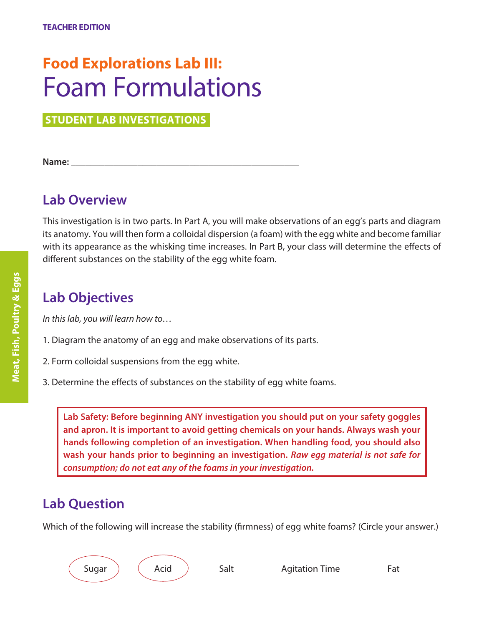# **Food Explorations Lab III:** Foam Formulations

**STUDENT LAB INVESTIGATIONS** 

**Name: \_\_\_\_\_\_\_\_\_\_\_\_\_\_\_\_\_\_\_\_\_\_\_\_\_\_\_\_\_\_\_\_\_\_\_\_\_\_\_\_\_\_\_\_\_\_\_\_**

# **Lab Overview**

This investigation is in two parts. In Part A, you will make observations of an egg's parts and diagram its anatomy. You will then form a colloidal dispersion (a foam) with the egg white and become familiar with its appearance as the whisking time increases. In Part B, your class will determine the effects of different substances on the stability of the egg white foam.

# **Lab Objectives**

*In this lab, you will learn how to…*

- 1. Diagram the anatomy of an egg and make observations of its parts.
- 2. Form colloidal suspensions from the egg white.
- 3. Determine the effects of substances on the stability of egg white foams.

**Lab Safety: Before beginning ANY investigation you should put on your safety goggles and apron. It is important to avoid getting chemicals on your hands. Always wash your hands following completion of an investigation. When handling food, you should also wash your hands prior to beginning an investigation.** *Raw egg material is not safe for consumption; do not eat any of the foams in your investigation.*

# **Lab Question**

Which of the following will increase the stability (firmness) of egg white foams? (Circle your answer.)



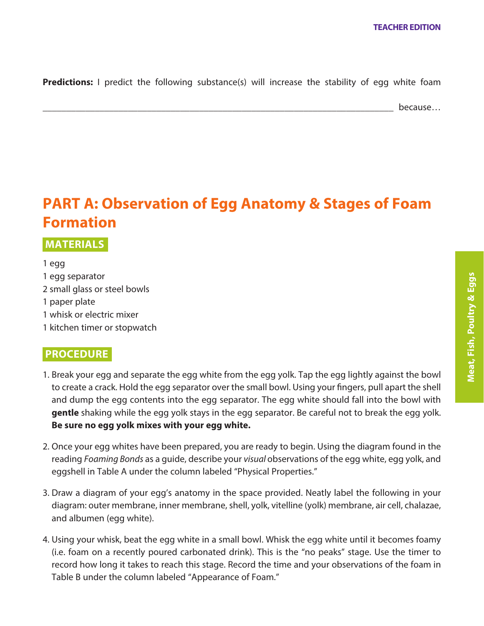**Predictions:** I predict the following substance(s) will increase the stability of egg white foam

\_\_\_\_\_\_\_\_\_\_\_\_\_\_\_\_\_\_\_\_\_\_\_\_\_\_\_\_\_\_\_\_\_\_\_\_\_\_\_\_\_\_\_\_\_\_\_\_\_\_\_\_\_\_\_\_\_\_\_\_\_\_\_\_\_\_\_\_\_\_\_\_\_\_ because…

# **PART A: Observation of Egg Anatomy & Stages of Foam Formation**

 **MATERIALS•**

1 egg 1 egg separator 2 small glass or steel bowls 1 paper plate 1 whisk or electric mixer 1 kitchen timer or stopwatch

### **PROCEDURE•**

- 1. Break your egg and separate the egg white from the egg yolk. Tap the egg lightly against the bowl to create a crack. Hold the egg separator over the small bowl. Using your fingers, pull apart the shell and dump the egg contents into the egg separator. The egg white should fall into the bowl with **gentle** shaking while the egg yolk stays in the egg separator. Be careful not to break the egg yolk. **Be sure no egg yolk mixes with your egg white.**
- 2. Once your egg whites have been prepared, you are ready to begin. Using the diagram found in the reading *Foaming Bonds* as a guide, describe your *visual* observations of the egg white, egg yolk, and eggshell in Table A under the column labeled "Physical Properties."
- 3. Draw a diagram of your egg's anatomy in the space provided. Neatly label the following in your diagram: outer membrane, inner membrane, shell, yolk, vitelline (yolk) membrane, air cell, chalazae, and albumen (egg white).
- 4. Using your whisk, beat the egg white in a small bowl. Whisk the egg white until it becomes foamy (i.e. foam on a recently poured carbonated drink). This is the "no peaks" stage. Use the timer to record how long it takes to reach this stage. Record the time and your observations of the foam in Table B under the column labeled "Appearance of Foam."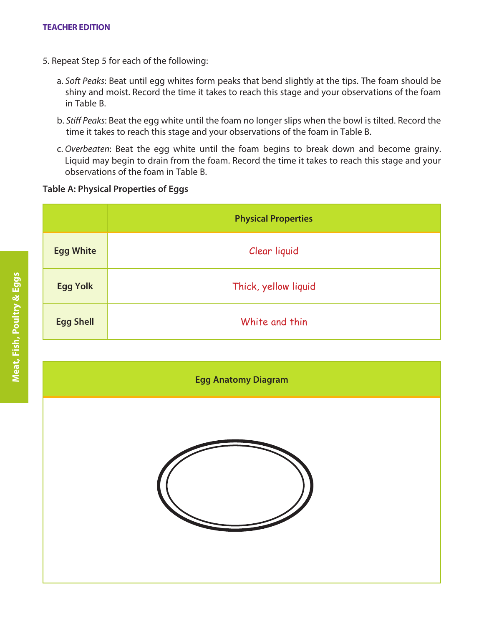- 5. Repeat Step 5 for each of the following:
	- a. *Soft Peaks*: Beat until egg whites form peaks that bend slightly at the tips. The foam should be shiny and moist. Record the time it takes to reach this stage and your observations of the foam in Table B.
	- b. *Stiff Peaks*: Beat the egg white until the foam no longer slips when the bowl is tilted. Record the time it takes to reach this stage and your observations of the foam in Table B.
	- c. *Overbeaten*: Beat the egg white until the foam begins to break down and become grainy. Liquid may begin to drain from the foam. Record the time it takes to reach this stage and your observations of the foam in Table B.

#### **Table A: Physical Properties of Eggs**

|                  | <b>Physical Properties</b> |
|------------------|----------------------------|
| <b>Egg White</b> | Clear liquid               |
| <b>Egg Yolk</b>  | Thick, yellow liquid       |
| <b>Egg Shell</b> | White and thin             |

**Egg Anatomy Diagram**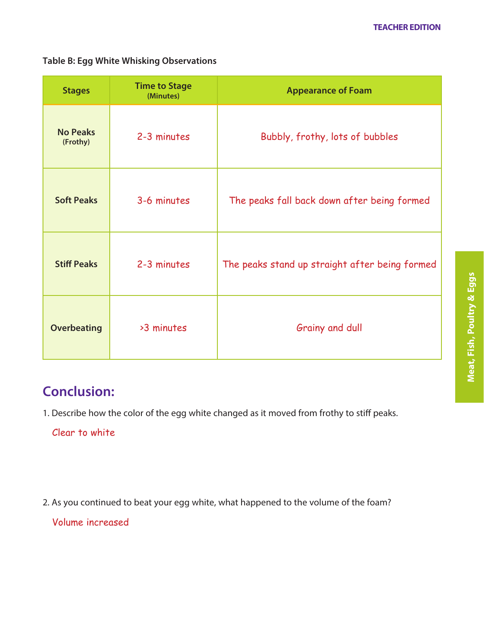### **Table B: Egg White Whisking Observations**

| <b>Stages</b>               | <b>Time to Stage</b><br>(Minutes) | <b>Appearance of Foam</b>                      |
|-----------------------------|-----------------------------------|------------------------------------------------|
| <b>No Peaks</b><br>(Frothy) | 2-3 minutes                       | Bubbly, frothy, lots of bubbles                |
| <b>Soft Peaks</b>           | 3-6 minutes                       | The peaks fall back down after being formed    |
| <b>Stiff Peaks</b>          | 2-3 minutes                       | The peaks stand up straight after being formed |
| <b>Overbeating</b>          | >3 minutes                        | Grainy and dull                                |

# **Conclusion:**

1. Describe how the color of the egg white changed as it moved from frothy to stiff peaks.

### Clear to white

2. As you continued to beat your egg white, what happened to the volume of the foam?

Volume increased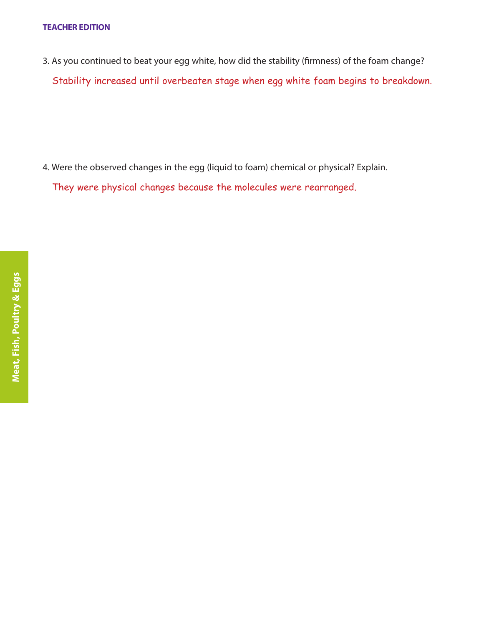#### **TEACHER EDITION**

3. As you continued to beat your egg white, how did the stability (firmness) of the foam change? Stability increased until overbeaten stage when egg white foam begins to breakdown.

4. Were the observed changes in the egg (liquid to foam) chemical or physical? Explain.

They were physical changes because the molecules were rearranged.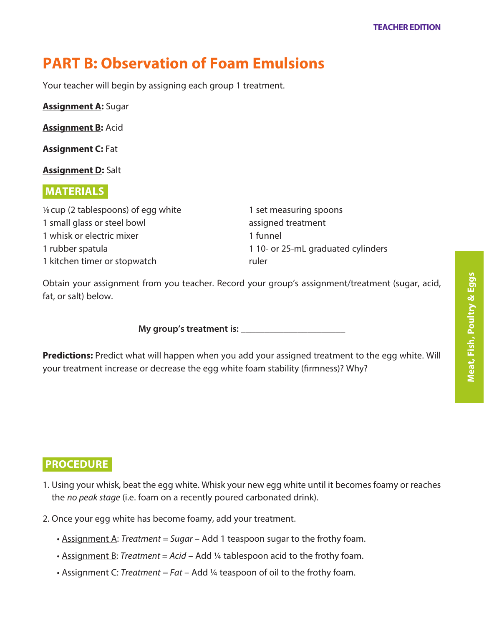# **PART B: Observation of Foam Emulsions**

Your teacher will begin by assigning each group 1 treatment.

**Assignment A:** Sugar

**Assignment B:** Acid

**Assignment C:** Fat

**Assignment D:** Salt

### **MATERIALS•**

1⁄8 cup (2 tablespoons) of egg white 1 small glass or steel bowl 1 whisk or electric mixer 1 rubber spatula 1 kitchen timer or stopwatch

1 set measuring spoons assigned treatment 1 funnel 1 10- or 25-mL graduated cylinders ruler

Obtain your assignment from you teacher. Record your group's assignment/treatment (sugar, acid, fat, or salt) below.

**My group's treatment is:**  $\blacksquare$ 

**Predictions:** Predict what will happen when you add your assigned treatment to the egg white. Will your treatment increase or decrease the egg white foam stability (firmness)? Why?

### **PROCEDURE•**

- 1. Using your whisk, beat the egg white. Whisk your new egg white until it becomes foamy or reaches the *no peak stage* (i.e. foam on a recently poured carbonated drink).
- 2. Once your egg white has become foamy, add your treatment.
	- Assignment A: *Treatment = Sugar* Add 1 teaspoon sugar to the frothy foam.
	- Assignment B: *Treatment = Acid* Add ¼ tablespoon acid to the frothy foam.
	- Assignment C: *Treatment = Fat* Add ¼ teaspoon of oil to the frothy foam.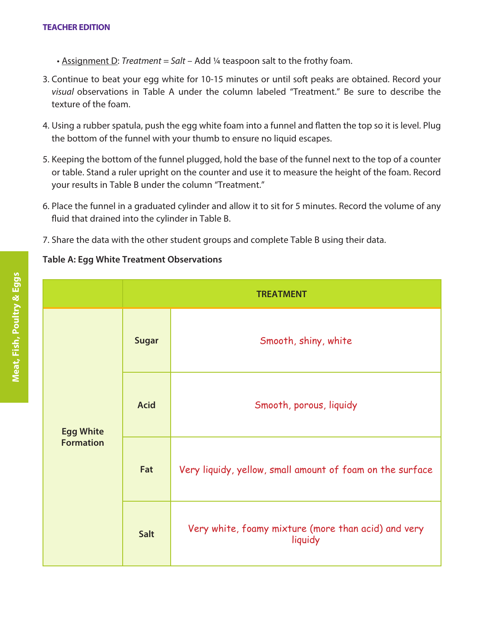#### **TEACHER EDITION**

- Assignment D: *Treatment = Salt* Add ¼ teaspoon salt to the frothy foam.
- 3. Continue to beat your egg white for 10-15 minutes or until soft peaks are obtained. Record your *visual* observations in Table A under the column labeled "Treatment." Be sure to describe the texture of the foam.
- 4. Using a rubber spatula, push the egg white foam into a funnel and flatten the top so it is level. Plug the bottom of the funnel with your thumb to ensure no liquid escapes.
- 5. Keeping the bottom of the funnel plugged, hold the base of the funnel next to the top of a counter or table. Stand a ruler upright on the counter and use it to measure the height of the foam. Record your results in Table B under the column "Treatment."
- 6. Place the funnel in a graduated cylinder and allow it to sit for 5 minutes. Record the volume of any fluid that drained into the cylinder in Table B.
- 7. Share the data with the other student groups and complete Table B using their data.

### **Table A: Egg White Treatment Observations**

|                  | <b>TREATMENT</b> |                                                                |
|------------------|------------------|----------------------------------------------------------------|
|                  | <b>Sugar</b>     | Smooth, shiny, white                                           |
| <b>Egg White</b> | <b>Acid</b>      | Smooth, porous, liquidy                                        |
| <b>Formation</b> | Fat              | Very liquidy, yellow, small amount of foam on the surface      |
|                  | Salt             | Very white, foamy mixture (more than acid) and very<br>liquidy |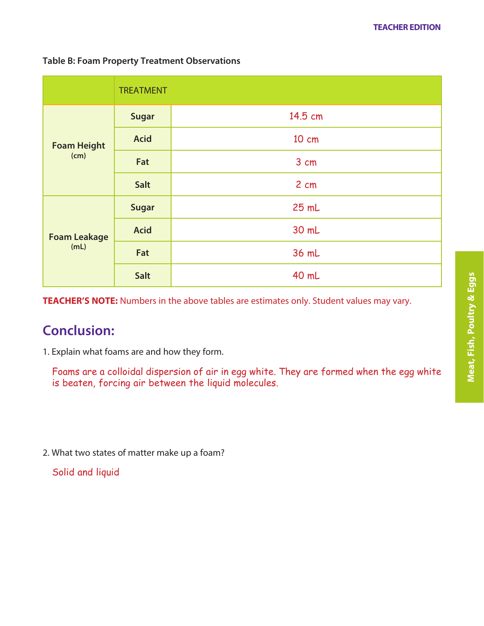#### **Table B: Foam Property Treatment Observations**

|                             | <b>TREATMENT</b> |         |
|-----------------------------|------------------|---------|
| <b>Foam Height</b><br>(cm)  | <b>Sugar</b>     | 14.5 cm |
|                             | <b>Acid</b>      | 10 cm   |
|                             | Fat              | 3 cm    |
|                             | Salt             | 2 cm    |
| <b>Foam Leakage</b><br>(mL) | <b>Sugar</b>     | 25 mL   |
|                             | <b>Acid</b>      | 30 mL   |
|                             | Fat              | 36 mL   |
|                             | Salt             | 40 mL   |

**TEACHER'S NOTE:** Numbers in the above tables are estimates only. Student values may vary.

# **Conclusion:**

1. Explain what foams are and how they form.

Foams are a colloidal dispersion of air in egg white. They are formed when the egg white is beaten, forcing air between the liquid molecules.

2. What two states of matter make up a foam?

Solid and liquid